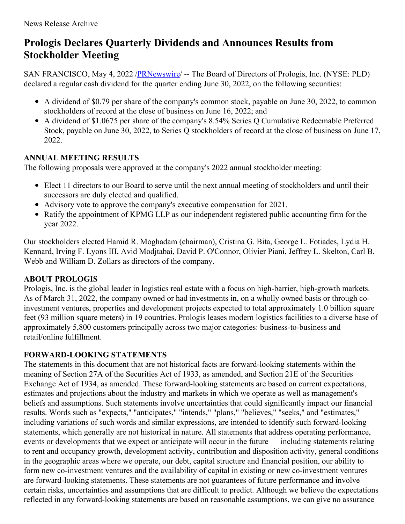## **Prologis Declares Quarterly Dividends and Announces Results from Stockholder Meeting**

SAN FRANCISCO, May 4, 2022 [/PRNewswire](http://www.prnewswire.com/)/ -- The Board of Directors of Prologis, Inc. (NYSE: PLD) declared a regular cash dividend for the quarter ending June 30, 2022, on the following securities:

- A dividend of \$0.79 per share of the company's common stock, payable on June 30, 2022, to common stockholders of record at the close of business on June 16, 2022; and
- A dividend of \$1.0675 per share of the company's 8.54% Series Q Cumulative Redeemable Preferred Stock, payable on June 30, 2022, to Series Q stockholders of record at the close of business on June 17, 2022.

## **ANNUAL MEETING RESULTS**

The following proposals were approved at the company's 2022 annual stockholder meeting:

- Elect 11 directors to our Board to serve until the next annual meeting of stockholders and until their successors are duly elected and qualified.
- Advisory vote to approve the company's executive compensation for 2021.
- Ratify the appointment of KPMG LLP as our independent registered public accounting firm for the year 2022.

Our stockholders elected Hamid R. Moghadam (chairman), Cristina G. Bita, George L. Fotiades, Lydia H. Kennard, Irving F. Lyons III, Avid Modjtabai, David P. O'Connor, Olivier Piani, Jeffrey L. Skelton, Carl B. Webb and William D. Zollars as directors of the company.

## **ABOUT PROLOGIS**

Prologis, Inc. is the global leader in logistics real estate with a focus on high-barrier, high-growth markets. As of March 31, 2022, the company owned or had investments in, on a wholly owned basis or through coinvestment ventures, properties and development projects expected to total approximately 1.0 billion square feet (93 million square meters) in 19 countries. Prologis leases modern logistics facilities to a diverse base of approximately 5,800 customers principally across two major categories: business-to-business and retail/online fulfillment.

## **FORWARD-LOOKING STATEMENTS**

The statements in this document that are not historical facts are forward-looking statements within the meaning of Section 27A of the Securities Act of 1933, as amended, and Section 21E of the Securities Exchange Act of 1934, as amended. These forward-looking statements are based on current expectations, estimates and projections about the industry and markets in which we operate as well as management's beliefs and assumptions. Such statements involve uncertainties that could significantly impact our financial results. Words such as "expects," "anticipates," "intends," "plans," "believes," "seeks," and "estimates," including variations of such words and similar expressions, are intended to identify such forward-looking statements, which generally are not historical in nature. All statements that address operating performance, events or developments that we expect or anticipate will occur in the future — including statements relating to rent and occupancy growth, development activity, contribution and disposition activity, general conditions in the geographic areas where we operate, our debt, capital structure and financial position, our ability to form new co-investment ventures and the availability of capital in existing or new co-investment ventures are forward-looking statements. These statements are not guarantees of future performance and involve certain risks, uncertainties and assumptions that are difficult to predict. Although we believe the expectations reflected in any forward-looking statements are based on reasonable assumptions, we can give no assurance